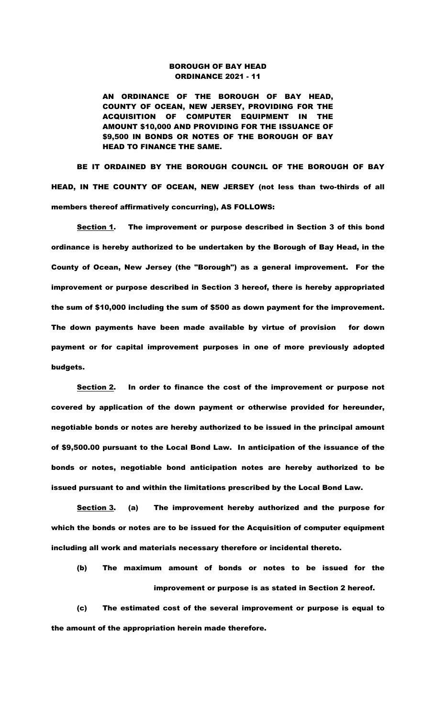## BOROUGH OF BAY HEAD ORDINANCE 2021 - 11

AN ORDINANCE OF THE BOROUGH OF BAY HEAD, COUNTY OF OCEAN, NEW JERSEY, PROVIDING FOR THE ACQUISITION OF COMPUTER EQUIPMENT IN THE AMOUNT \$10,000 AND PROVIDING FOR THE ISSUANCE OF \$9,500 IN BONDS OR NOTES OF THE BOROUGH OF BAY HEAD TO FINANCE THE SAME.

BE IT ORDAINED BY THE BOROUGH COUNCIL OF THE BOROUGH OF BAY HEAD, IN THE COUNTY OF OCEAN, NEW JERSEY (not less than two-thirds of all members thereof affirmatively concurring), AS FOLLOWS:

Section 1. The improvement or purpose described in Section 3 of this bond ordinance is hereby authorized to be undertaken by the Borough of Bay Head, in the County of Ocean, New Jersey (the "Borough") as a general improvement. For the improvement or purpose described in Section 3 hereof, there is hereby appropriated the sum of \$10,000 including the sum of \$500 as down payment for the improvement. The down payments have been made available by virtue of provision for down payment or for capital improvement purposes in one of more previously adopted budgets.

Section 2. In order to finance the cost of the improvement or purpose not covered by application of the down payment or otherwise provided for hereunder, negotiable bonds or notes are hereby authorized to be issued in the principal amount of \$9,500.00 pursuant to the Local Bond Law. In anticipation of the issuance of the bonds or notes, negotiable bond anticipation notes are hereby authorized to be issued pursuant to and within the limitations prescribed by the Local Bond Law.

Section 3. (a) The improvement hereby authorized and the purpose for which the bonds or notes are to be issued for the Acquisition of computer equipment including all work and materials necessary therefore or incidental thereto.

 (b) The maximum amount of bonds or notes to be issued for the improvement or purpose is as stated in Section 2 hereof.

(c) The estimated cost of the several improvement or purpose is equal to the amount of the appropriation herein made therefore.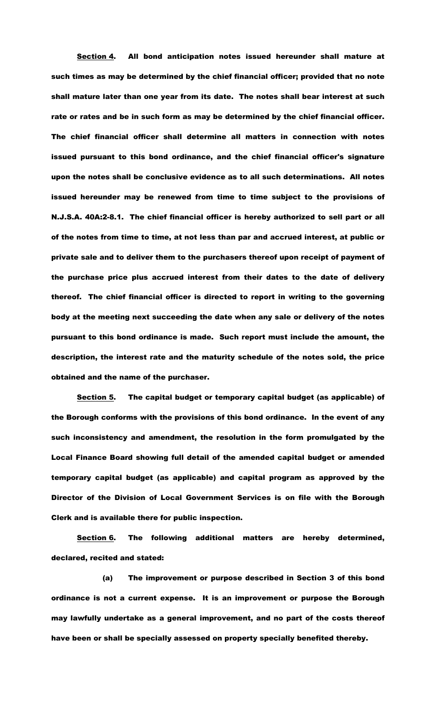Section 4. All bond anticipation notes issued hereunder shall mature at such times as may be determined by the chief financial officer; provided that no note shall mature later than one year from its date. The notes shall bear interest at such rate or rates and be in such form as may be determined by the chief financial officer. The chief financial officer shall determine all matters in connection with notes issued pursuant to this bond ordinance, and the chief financial officer's signature upon the notes shall be conclusive evidence as to all such determinations. All notes issued hereunder may be renewed from time to time subject to the provisions of N.J.S.A. 40A:2-8.1. The chief financial officer is hereby authorized to sell part or all of the notes from time to time, at not less than par and accrued interest, at public or private sale and to deliver them to the purchasers thereof upon receipt of payment of the purchase price plus accrued interest from their dates to the date of delivery thereof. The chief financial officer is directed to report in writing to the governing body at the meeting next succeeding the date when any sale or delivery of the notes pursuant to this bond ordinance is made. Such report must include the amount, the description, the interest rate and the maturity schedule of the notes sold, the price obtained and the name of the purchaser.

Section 5. The capital budget or temporary capital budget (as applicable) of the Borough conforms with the provisions of this bond ordinance. In the event of any such inconsistency and amendment, the resolution in the form promulgated by the Local Finance Board showing full detail of the amended capital budget or amended temporary capital budget (as applicable) and capital program as approved by the Director of the Division of Local Government Services is on file with the Borough Clerk and is available there for public inspection.

Section 6. The following additional matters are hereby determined, declared, recited and stated:

(a) The improvement or purpose described in Section 3 of this bond ordinance is not a current expense. It is an improvement or purpose the Borough may lawfully undertake as a general improvement, and no part of the costs thereof have been or shall be specially assessed on property specially benefited thereby.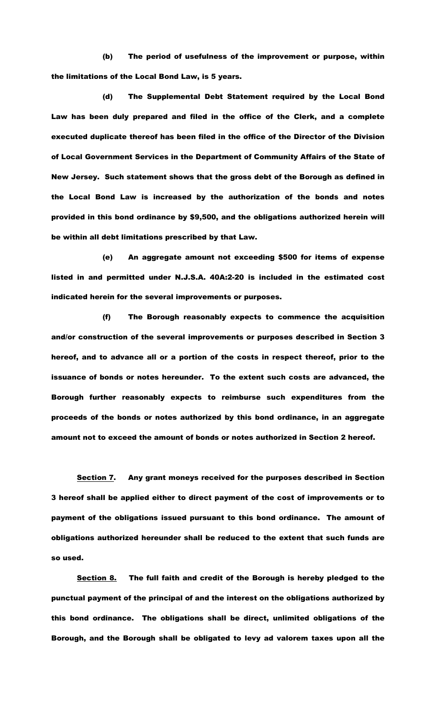(b) The period of usefulness of the improvement or purpose, within the limitations of the Local Bond Law, is 5 years.

(d) The Supplemental Debt Statement required by the Local Bond Law has been duly prepared and filed in the office of the Clerk, and a complete executed duplicate thereof has been filed in the office of the Director of the Division of Local Government Services in the Department of Community Affairs of the State of New Jersey. Such statement shows that the gross debt of the Borough as defined in the Local Bond Law is increased by the authorization of the bonds and notes provided in this bond ordinance by \$9,500, and the obligations authorized herein will be within all debt limitations prescribed by that Law.

(e) An aggregate amount not exceeding \$500 for items of expense listed in and permitted under N.J.S.A. 40A:2-20 is included in the estimated cost indicated herein for the several improvements or purposes.

(f) The Borough reasonably expects to commence the acquisition and/or construction of the several improvements or purposes described in Section 3 hereof, and to advance all or a portion of the costs in respect thereof, prior to the issuance of bonds or notes hereunder. To the extent such costs are advanced, the Borough further reasonably expects to reimburse such expenditures from the proceeds of the bonds or notes authorized by this bond ordinance, in an aggregate amount not to exceed the amount of bonds or notes authorized in Section 2 hereof.

Section 7. Any grant moneys received for the purposes described in Section 3 hereof shall be applied either to direct payment of the cost of improvements or to payment of the obligations issued pursuant to this bond ordinance. The amount of obligations authorized hereunder shall be reduced to the extent that such funds are so used.

Section 8. The full faith and credit of the Borough is hereby pledged to the punctual payment of the principal of and the interest on the obligations authorized by this bond ordinance. The obligations shall be direct, unlimited obligations of the Borough, and the Borough shall be obligated to levy ad valorem taxes upon all the